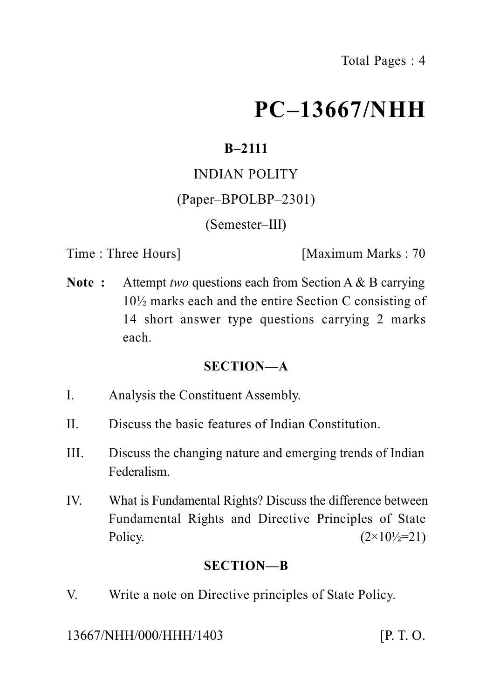# **PC–13667/NHH**

# **B–2111**

## INDIAN POLITY

## (Paper–BPOLBP–2301)

## (Semester–III)

Time : Three Hours] [Maximum Marks : 70

**Note :** Attempt *two* questions each from Section A & B carrying 10½ marks each and the entire Section C consisting of 14 short answer type questions carrying 2 marks each.

## **SECTION—A**

- I. Analysis the Constituent Assembly.
- II. Discuss the basic features of Indian Constitution.
- III. Discuss the changing nature and emerging trends of Indian Federalism.
- IV. What is Fundamental Rights? Discuss the difference between Fundamental Rights and Directive Principles of State Policy.  $(2 \times 10^{1}/2=21)$

## **SECTION—B**

V. Write a note on Directive principles of State Policy.

13667/NHH/000/HHH/1403 [P. T. O.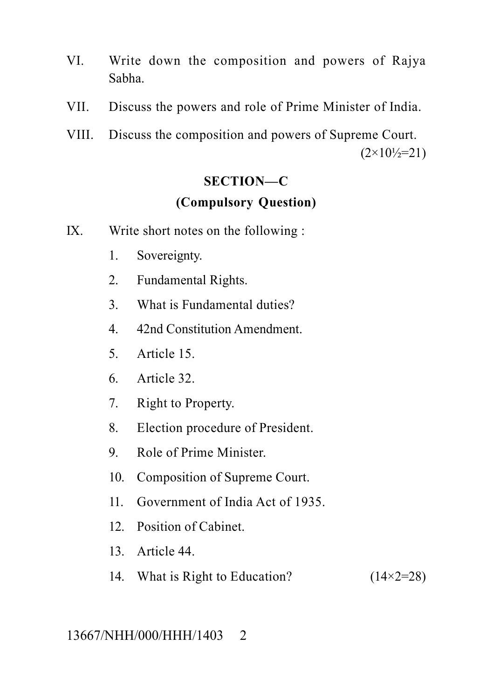- VI. Write down the composition and powers of Rajya Sabha.
- VII. Discuss the powers and role of Prime Minister of India.
- VIII. Discuss the composition and powers of Supreme Court.  $(2\times10^{1}/\text{m})$

#### **SECTION—C**

#### **(Compulsory Question)**

- IX. Write short notes on the following :
	- 1. Sovereignty.
	- 2. Fundamental Rights.
	- 3. What is Fundamental duties?
	- 4. 42nd Constitution Amendment.
	- 5. Article 15.
	- 6. Article 32.
	- 7. Right to Property.
	- 8. Election procedure of President.
	- 9. Role of Prime Minister.
	- 10. Composition of Supreme Court.
	- 11. Government of India Act of 1935.
	- 12. Position of Cabinet.
	- 13. Article 44.
	- 14. What is Right to Education?  $(14\times2=28)$

#### 13667/NHH/000/HHH/1403 2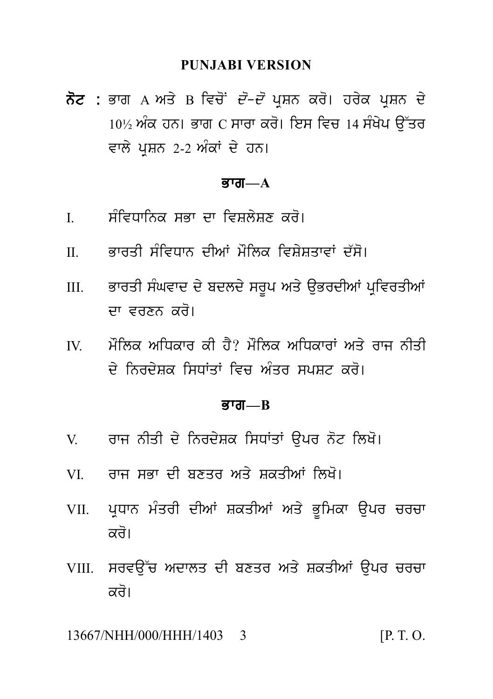#### **PUNJABI VERSION**

ਨੋਟ : ਭਾਗ A ਅਤੇ B ਵਿਚੋਂ *ਦੋ-ਦੋ* ਪੁਸ਼ਨ ਕਰੋ। ਹਰੇਕ ਪੁਸ਼ਨ ਦੇ  $10\%$  ਅੰਕ ਹਨ। ਭਾਗ C ਸਾਰਾ ਕਰੋ। ਇਸ ਵਿਚ 14 ਸੰਖੇਪ ਉੱਤਰ ਵਾਲੇ ਪੁਸ਼ਨ 2-2 ਅੰਕਾਂ ਦੇ ਹਨ।

#### ਭਾਗ $-A$

- ਸੰਵਿਧਾਨਿਕ ਸਭਾ ਦਾ ਵਿਸ਼ਲੇਸ਼ਣ ਕਰੋ।  $\mathbf{I}$
- ਕਾਰਤੀ ਸੰਵਿਧਾਨ ਦੀਆਂ ਮੌਲਿਕ ਵਿਸੇਸਤਾਵਾਂ ਦੱਸੋ।  $\Pi$
- ਭਾਰਤੀ ਸੰਘਵਾਦ ਦੇ ਬਦਲਦੇ ਸਰੂਪ ਅਤੇ ਉਭਰਦੀਆਂ ਪੁਵਿਰਤੀਆਂ  $III$ ਦਾ ਵਰਣਨ ਕਰੋ।
- ਮੌਲਿਕ ਅਧਿਕਾਰ ਕੀ ਹੈ? ਮੌਲਿਕ ਅਧਿਕਾਰਾਂ ਅਤੇ ਰਾਜ ਨੀਤੀ  $\mathbf{I} \mathbf{V}$ <u>ਦੇ ਨਿਰਦੇਸ਼ਕ ਸਿਧਾਂਤਾਂ ਵਿਚ ਅੰਤਰ ਸਪਸ਼ਟ ਕਰੋ।</u>

#### $\overline{g}$ गत $\overline{a}$

- ਰਾਜ ਨੀਤੀ ਦੇ ਨਿਰਦੇਸ਼ਕ ਸਿਧਾਂਤਾਂ ੳਪਰ ਨੋਟ ਲਿਖੋ।  $V$
- ਰਾਜ ਸਕਾ ਦੀ ਸਣਤਰ ਅਤੇ ਸਕਤੀਆਂ ਲਿਖੋ।  $VI$
- VII. ਪ੍ਰਧਾਨ ਮੰਤਰੀ ਦੀਆਂ ਸ਼ਕਤੀਆਂ ਅਤੇ ਭੂਮਿਕਾ ਉਪਰ ਚਰਚਾ ਕਰੋ।
- VIII. ਸਰਵੳੱਚ ਅਦਾਲਤ ਦੀ ਬਣਤਰ ਅਤੇ ਸ਼ਕਤੀਆਂ ੳਪਰ ਚਰਚਾ ਕਰੋ।

13667/NHH/000/HHH/1403 3  $[P, T, O]$